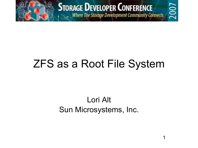

**STORAGE DEVELOPER CONFERENCE** 

**Service The Storage Development Community Connects** 

### ZFS as a Root File System

#### Lori Alt Sun Microsystems, Inc.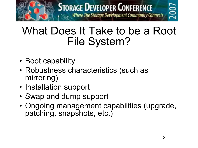

### What Does It Take to be a Root File System?

- Boot capability
- Robustness characteristics (such as mirroring)
- Installation support
- Swap and dump support
- Ongoing management capabilities (upgrade, patching, snapshots, etc.)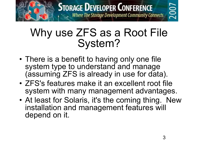

#### Why use ZFS as a Root File System?

- There is a benefit to having only one file system type to understand and manage (assuming ZFS is already in use for data).
- ZFS's features make it an excellent root file system with many management advantages.
- At least for Solaris, it's the coming thing. New installation and management features will depend on it.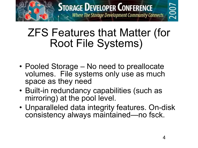

### ZFS Features that Matter (for Root File Systems)

- Pooled Storage No need to preallocate volumes. File systems only use as much space as they need
- Built-in redundancy capabilities (such as mirroring) at the pool level.
- Unparalleled data integrity features. On-disk consistency always maintained—no fsck.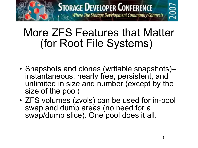

### More ZFS Features that Matter (for Root File Systems)

- Snapshots and clones (writable snapshots)– instantaneous, nearly free, persistent, and unlimited in size and number (except by the size of the pool)
- ZFS volumes (zvols) can be used for in-pool swap and dump areas (no need for a swap/dump slice). One pool does it all.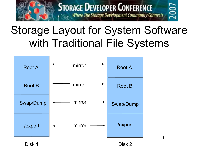

# Storage Layout for System Software with Traditional File Systems

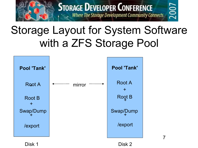

# Storage Layout for System Software with a ZFS Storage Pool



Disk 1 Disk 2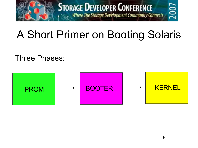

# A Short Primer on Booting Solaris

Three Phases:

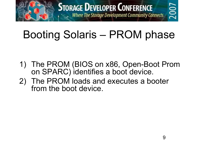

# Booting Solaris – PROM phase

- 1) The PROM (BIOS on x86, Open-Boot Prom on SPARC) identifies a boot device.
- 2) The PROM loads and executes a booter from the boot device.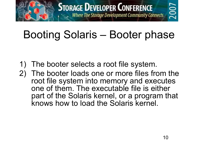

# Booting Solaris – Booter phase

- 1) The booter selects a root file system.
- 2) The booter loads one or more files from the root file system into memory and executes one of them. The executable file is either part of the Solaris kernel, or a program that knows how to load the Solaris kernel.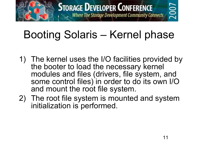

# Booting Solaris – Kernel phase

- 1) The kernel uses the I/O facilities provided by the booter to load the necessary kernel modules and files (drivers, file system, and some control files) in order to do its own I/O and mount the root file system.
- 2) The root file system is mounted and system initialization is performed.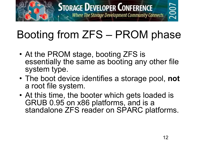

# Booting from ZFS – PROM phase

- At the PROM stage, booting ZFS is essentially the same as booting any other file system type.
- The boot device identifies a storage pool, **not** a root file system.
- At this time, the booter which gets loaded is GRUB 0.95 on x86 platforms, and is a standalone ZFS reader on SPARC platforms.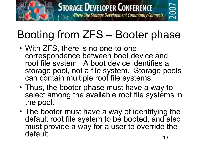

# Booting from ZFS – Booter phase

- With ZFS, there is no one-to-one correspondence between boot device and root file system. A boot device identifies a storage pool, not a file system. Storage pools can contain multiple root file systems.
- Thus, the booter phase must have a way to select among the available root file systems in the pool.
- 13 • The booter must have a way of identifying the default root file system to be booted, and also must provide a way for a user to override the default.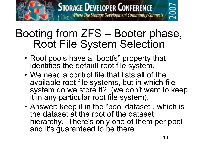

#### Booting from ZFS – Booter phase, Root File System Selection

- Root pools have a "bootfs" property that identifies the default root file system.
- We need a control file that lists all of the available root file systems, but in which file system do we store it? (we don't want to keep it in any particular root file system).
- Answer: keep it in the "pool dataset", which is the dataset at the root of the dataset hierarchy. There's only one of them per pool and it's guaranteed to be there.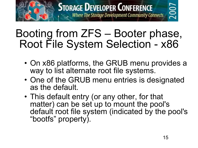

#### Booting from ZFS – Booter phase, Root File System Selection - x86

- On x86 platforms, the GRUB menu provides a way to list alternate root file systems.
- One of the GRUB menu entries is designated as the default.
- This default entry (or any other, for that matter) can be set up to mount the pool's default root file system (indicated by the pool's "bootfs" property).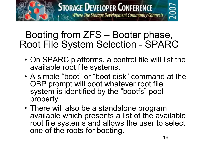

#### Booting from ZFS – Booter phase, Root File System Selection - SPARC

- On SPARC platforms, a control file will list the available root file systems.
- A simple "boot" or "boot disk" command at the OBP prompt will boot whatever root file system is identified by the "bootfs" pool property.
- There will also be a standalone program available which presents a list of the available root file systems and allows the user to select one of the roots for booting.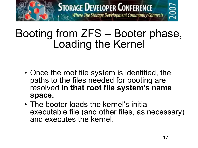

### Booting from ZFS – Booter phase, Loading the Kernel

- Once the root file system is identified, the paths to the files needed for booting are resolved **in that root file system's name space.**
- The booter loads the kernel's initial executable file (and other files, as necessary) and executes the kernel.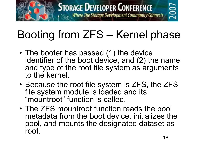

# Booting from ZFS – Kernel phase

- The booter has passed (1) the device identifier of the boot device, and (2) the name and type of the root file system as arguments to the kernel.
- Because the root file system is ZFS, the ZFS file system module is loaded and its "mountroot" function is called.
- The ZFS mountroot function reads the pool metadata from the boot device, initializes the pool, and mounts the designated dataset as root.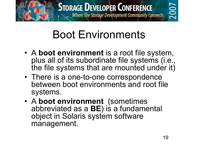

# **2007**

# Boot Environments

- A **boot environment** is a root file system, plus all of its subordinate file systems (i.e., the file systems that are mounted under it)
- There is a one-to-one correspondence between boot environments and root file systems.
- A **boot environment** (sometimes abbreviated as a **BE**) is a fundamental object in Solaris system software management.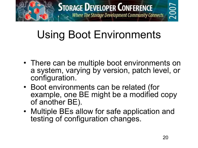

# Using Boot Environments

- There can be multiple boot environments on a system, varying by version, patch level, or configuration.
- Boot environments can be related (for example, one BE might be a modified copy of another BE).
- Multiple BEs allow for safe application and testing of configuration changes.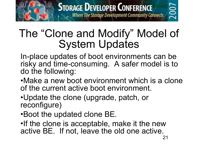

### The "Clone and Modify" Model of System Updates

In-place updates of boot environments can be risky and time-consuming. A safer model is to do the following:

•Make a new boot environment which is a clone of the current active boot environment.

•Update the clone (upgrade, patch, or reconfigure)

•Boot the updated clone BE.

•If the clone is acceptable, make it the new active BE. If not, leave the old one active.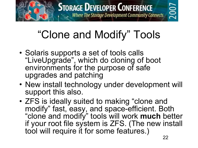

# "Clone and Modify" Tools

- Solaris supports a set of tools calls "LiveUpgrade" , which do cloning of boot environments for the purpose of safe upgrades and patching
- New install technology under development will support this also.
- ZFS is ideally suited to making "clone and modify" fast, easy, and space-efficient. Both "clone and modify" tools will work **much** better if your root file system is ZFS. (The new install tool will require it for some features.)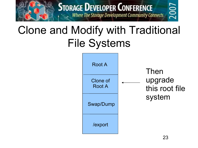

# Clone and Modify with Traditional File Systems

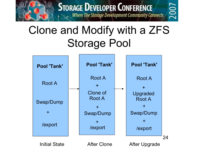

# Clone and Modify with a ZFS Storage Pool

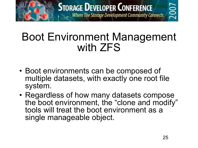

#### Boot Environment Management with ZFS

- Boot environments can be composed of multiple datasets, with exactly one root file system.
- Regardless of how many datasets compose the boot environment, the "clone and modify" tools will treat the boot environment as a single manageable object.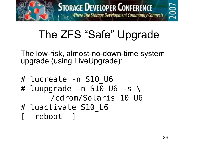

# The ZFS "Safe" Upgrade

The low-risk, almost-no-down-time system upgrade (using LiveUpgrade):

- # lucreate -n S10 U6 # luupgrade -n S10 U6 -s  $\setminus$ /cdrom/Solaris\_10\_U6 # luactivate S10 U6
- reboot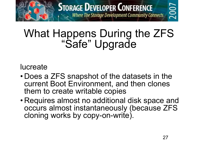

#### lucreate

- Does a ZFS snapshot of the datasets in the current Boot Environment, and then clones them to create writable copies
- Requires almost no additional disk space and occurs almost instantaneously (because ZFS cloning works by copy-on-write).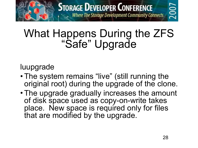

#### luupgrade

- The system remains "live" (still running the original root) during the upgrade of the clone.
- The upgrade gradually increases the amount of disk space used as copy-on-write takes place. New space is required only for files that are modified by the upgrade.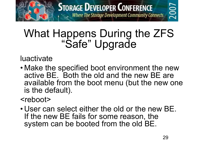

luactivate

• Make the specified boot environment the new active BE. Both the old and the new BE are available from the boot menu (but the new one is the default).

#### <reboot>

• User can select either the old or the new BE. If the new BE fails for some reason, the system can be booted from the old BE.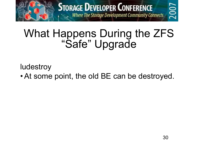

ludestroy

• At some point, the old BE can be destroyed.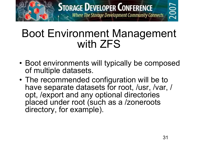

#### Boot Environment Management with ZFS

- Boot environments will typically be composed of multiple datasets.
- The recommended configuration will be to have separate datasets for root, /usr, /var, / opt, /export and any optional directories placed under root (such as a /zoneroots directory, for example).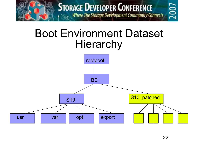

#### Boot Environment Dataset **Hierarchy**

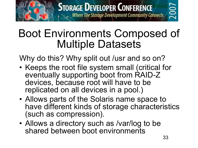

### Boot Environments Composed of Multiple Datasets

Why do this? Why split out /usr and so on?

- Keeps the root file system small (critical for eventually supporting boot from RAID-Z devices, because root will have to be replicated on all devices in a pool.)
- Allows parts of the Solaris name space to have different kinds of storage characteristics (such as compression).
- Allows a directory such as /var/log to be shared between boot environments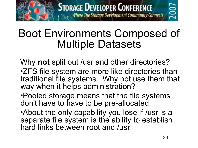

### Boot Environments Composed of Multiple Datasets

Why **not** split out /usr and other directories? •ZFS file system are more like directories than traditional file systems. Why not use them that way when it helps administration?

•Pooled storage means that the file systems don't have to have to be pre-allocated.

•About the only capability you lose if /usr is a separate file system is the ability to establish hard links between root and /usr.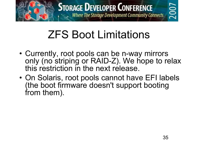

# ZFS Boot Limitations

- Currently, root pools can be n-way mirrors only (no striping or RAID-Z). We hope to relax this restriction in the next release.
- On Solaris, root pools cannot have EFI labels (the boot firmware doesn't support booting from them).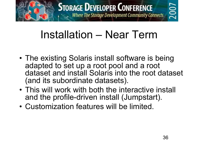

# Installation – Near Term

- The existing Solaris install software is being adapted to set up a root pool and a root dataset and install Solaris into the root dataset (and its subordinate datasets).
- This will work with both the interactive install and the profile-driven install (Jumpstart).
- Customization features will be limited.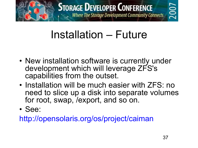

# **2007**

# Installation – Future

- New installation software is currently under development which will leverage ZFS's capabilities from the outset.
- Installation will be much easier with ZFS: no need to slice up a disk into separate volumes for root, swap, /export, and so on.
- See:

http://opensolaris.org/os/project/caiman